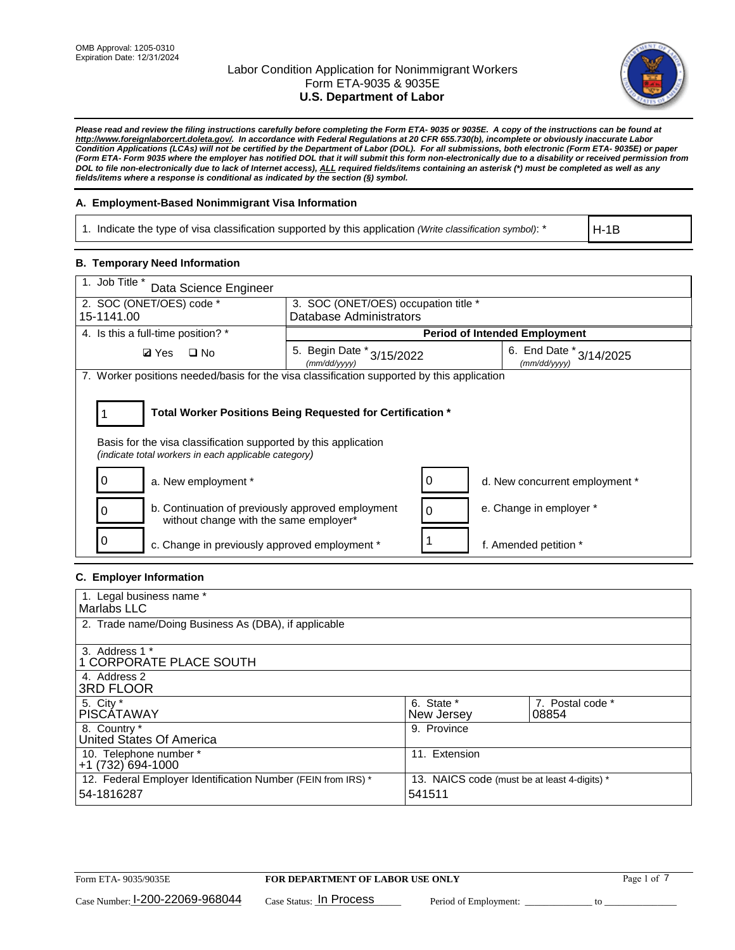

*Please read and review the filing instructions carefully before completing the Form ETA- 9035 or 9035E. A copy of the instructions can be found at http://www.foreignlaborcert.doleta.gov/. In accordance with Federal Regulations at 20 CFR 655.730(b), incomplete or obviously inaccurate Labor Condition Applications (LCAs) will not be certified by the Department of Labor (DOL). For all submissions, both electronic (Form ETA- 9035E) or paper (Form ETA- Form 9035 where the employer has notified DOL that it will submit this form non-electronically due to a disability or received permission from DOL to file non-electronically due to lack of Internet access), ALL required fields/items containing an asterisk (\*) must be completed as well as any fields/items where a response is conditional as indicated by the section (§) symbol.* 

# **A. Employment-Based Nonimmigrant Visa Information**

1. Indicate the type of visa classification supported by this application *(Write classification symbol)*: \*

H-1B

## **B. Temporary Need Information**

| 1. Job Title *<br>Data Science Engineer                                                                                                                                               |                                               |                         |                                             |  |  |  |  |
|---------------------------------------------------------------------------------------------------------------------------------------------------------------------------------------|-----------------------------------------------|-------------------------|---------------------------------------------|--|--|--|--|
| 2. SOC (ONET/OES) code *                                                                                                                                                              | 3. SOC (ONET/OES) occupation title *          |                         |                                             |  |  |  |  |
| 15-1141.00                                                                                                                                                                            |                                               | Database Administrators |                                             |  |  |  |  |
| 4. Is this a full-time position? *                                                                                                                                                    |                                               |                         | <b>Period of Intended Employment</b>        |  |  |  |  |
| $\square$ No<br><b>Ø</b> Yes                                                                                                                                                          | 5. Begin Date $*_{3/15/2022}$<br>(mm/dd/yyyy) |                         | 6. End Date $*_{3/14/2025}$<br>(mm/dd/yyyy) |  |  |  |  |
| 7. Worker positions needed/basis for the visa classification supported by this application                                                                                            |                                               |                         |                                             |  |  |  |  |
| Total Worker Positions Being Requested for Certification *<br>Basis for the visa classification supported by this application<br>(indicate total workers in each applicable category) |                                               |                         |                                             |  |  |  |  |
| a. New employment *                                                                                                                                                                   |                                               |                         | d. New concurrent employment *              |  |  |  |  |
| b. Continuation of previously approved employment<br>without change with the same employer*                                                                                           |                                               | 0                       | e. Change in employer *                     |  |  |  |  |
| 0<br>c. Change in previously approved employment *                                                                                                                                    |                                               |                         | f. Amended petition *                       |  |  |  |  |

## **C. Employer Information**

| 1. Legal business name *                                                   |                                                        |                           |
|----------------------------------------------------------------------------|--------------------------------------------------------|---------------------------|
| Marlabs LLC                                                                |                                                        |                           |
| 2. Trade name/Doing Business As (DBA), if applicable                       |                                                        |                           |
| 3. Address 1 *<br>1 CORPORATE PLACE SOUTH<br>4. Address 2                  |                                                        |                           |
| <b>3RD FLOOR</b>                                                           |                                                        |                           |
| 5. City *<br><b>PISCÁTAWAY</b>                                             | 6. State *<br>New Jersey                               | 7. Postal code *<br>08854 |
| 8. Country *<br>United States Of America                                   | 9. Province                                            |                           |
| 10. Telephone number *<br>$+1(732)694-1000$                                | 11. Extension                                          |                           |
| 12. Federal Employer Identification Number (FEIN from IRS) *<br>54-1816287 | 13. NAICS code (must be at least 4-digits) *<br>541511 |                           |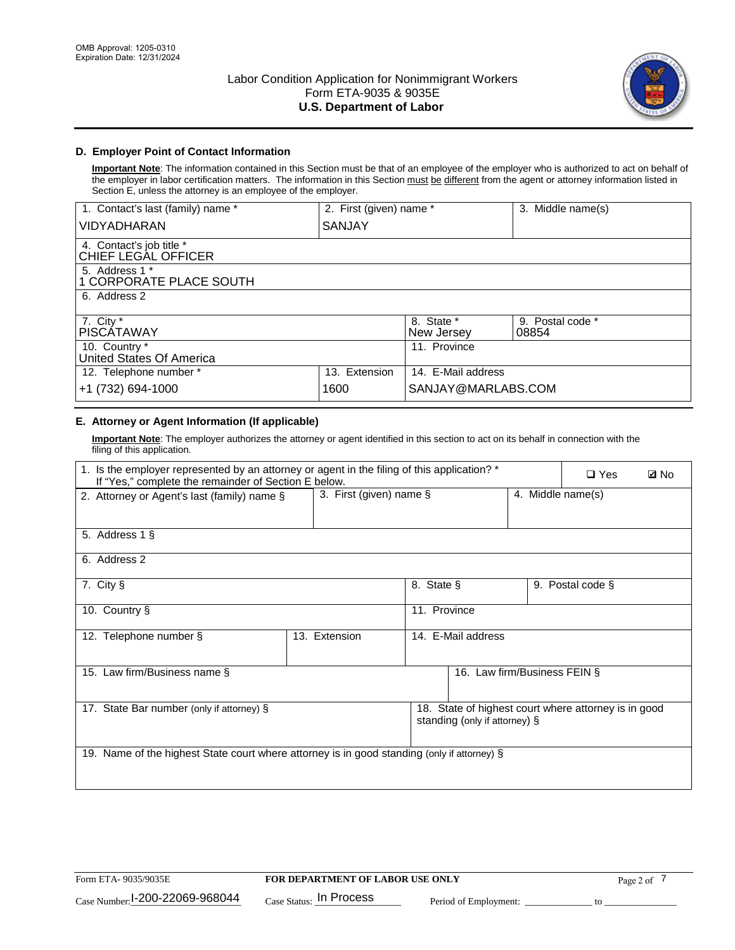

# **D. Employer Point of Contact Information**

**Important Note**: The information contained in this Section must be that of an employee of the employer who is authorized to act on behalf of the employer in labor certification matters. The information in this Section must be different from the agent or attorney information listed in Section E, unless the attorney is an employee of the employer.

| 1. Contact's last (family) name *               | 2. First (given) name * |                          | 3. Middle name(s)         |
|-------------------------------------------------|-------------------------|--------------------------|---------------------------|
| <b>VIDYADHARAN</b>                              | SANJAY                  |                          |                           |
| 4. Contact's job title *<br>CHIEF LEGAL OFFICER |                         |                          |                           |
| 5. Address 1 *<br>1 CORPORATE PLACE SOUTH       |                         |                          |                           |
| 6. Address 2                                    |                         |                          |                           |
| 7. City $*$<br><b>PISCATAWAY</b>                |                         | 8. State *<br>New Jersey | 9. Postal code *<br>08854 |
| 10. Country *<br>United States Of America       |                         | 11. Province             |                           |
| 12. Telephone number *                          | 13. Extension           | 14. E-Mail address       |                           |
| +1 (732) 694-1000                               | 1600                    | SANJAY@MARLABS.COM       |                           |

# **E. Attorney or Agent Information (If applicable)**

**Important Note**: The employer authorizes the attorney or agent identified in this section to act on its behalf in connection with the filing of this application.

| 1. Is the employer represented by an attorney or agent in the filing of this application? *<br>If "Yes," complete the remainder of Section E below. |               |                                              |                               |  | $\square$ Yes                                        | <b>ØNo</b> |
|-----------------------------------------------------------------------------------------------------------------------------------------------------|---------------|----------------------------------------------|-------------------------------|--|------------------------------------------------------|------------|
| 2. Attorney or Agent's last (family) name §                                                                                                         |               | 3. First (given) name §<br>4. Middle name(s) |                               |  |                                                      |            |
| 5. Address 1 §                                                                                                                                      |               |                                              |                               |  |                                                      |            |
| 6. Address 2                                                                                                                                        |               |                                              |                               |  |                                                      |            |
| 7. City §                                                                                                                                           |               | 8. State §                                   |                               |  | 9. Postal code §                                     |            |
| 10. Country §                                                                                                                                       |               | 11. Province                                 |                               |  |                                                      |            |
| 12. Telephone number §                                                                                                                              | 13. Extension | 14. E-Mail address                           |                               |  |                                                      |            |
| 15. Law firm/Business name §                                                                                                                        |               |                                              | 16. Law firm/Business FEIN §  |  |                                                      |            |
| 17. State Bar number (only if attorney) §                                                                                                           |               |                                              | standing (only if attorney) § |  | 18. State of highest court where attorney is in good |            |
| 19. Name of the highest State court where attorney is in good standing (only if attorney) §                                                         |               |                                              |                               |  |                                                      |            |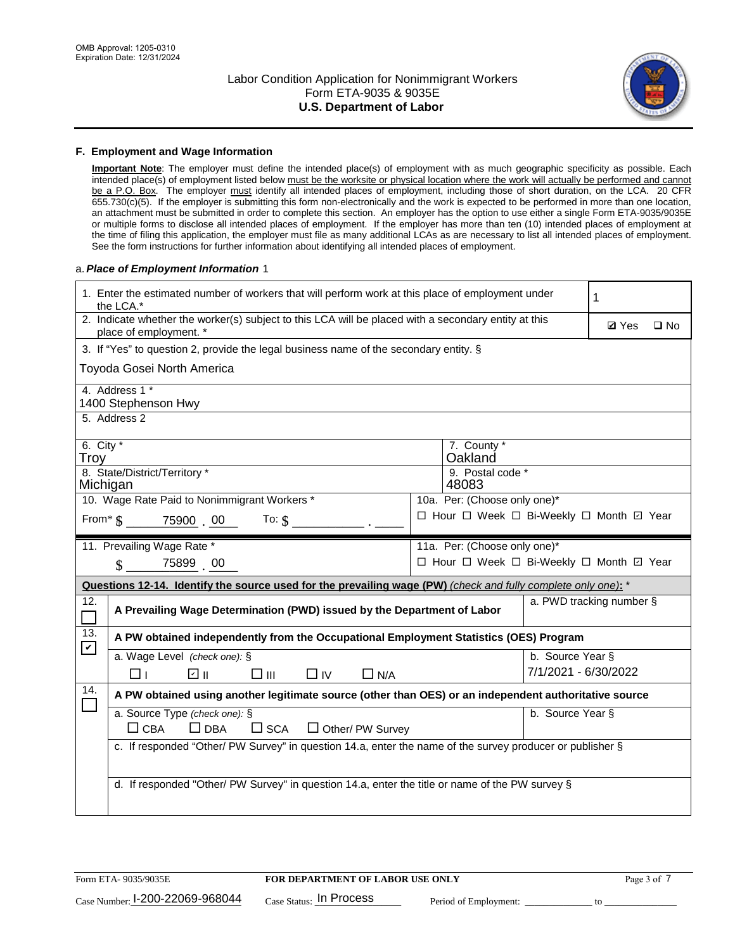

## **F. Employment and Wage Information**

**Important Note**: The employer must define the intended place(s) of employment with as much geographic specificity as possible. Each intended place(s) of employment listed below must be the worksite or physical location where the work will actually be performed and cannot be a P.O. Box. The employer must identify all intended places of employment, including those of short duration, on the LCA. 20 CFR 655.730(c)(5). If the employer is submitting this form non-electronically and the work is expected to be performed in more than one location, an attachment must be submitted in order to complete this section. An employer has the option to use either a single Form ETA-9035/9035E or multiple forms to disclose all intended places of employment. If the employer has more than ten (10) intended places of employment at the time of filing this application, the employer must file as many additional LCAs as are necessary to list all intended places of employment. See the form instructions for further information about identifying all intended places of employment.

## a.*Place of Employment Information* 1

|                                                                                    | 1. Enter the estimated number of workers that will perform work at this place of employment under<br>the LCA.*                 |  |                                          |                          |              |              |
|------------------------------------------------------------------------------------|--------------------------------------------------------------------------------------------------------------------------------|--|------------------------------------------|--------------------------|--------------|--------------|
|                                                                                    | 2. Indicate whether the worker(s) subject to this LCA will be placed with a secondary entity at this<br>place of employment. * |  |                                          |                          | <b>Ø</b> Yes | $\square$ No |
|                                                                                    | 3. If "Yes" to question 2, provide the legal business name of the secondary entity. §                                          |  |                                          |                          |              |              |
|                                                                                    | Toyoda Gosei North America                                                                                                     |  |                                          |                          |              |              |
|                                                                                    | 4. Address 1 *<br>1400 Stephenson Hwy                                                                                          |  |                                          |                          |              |              |
|                                                                                    | 5. Address 2                                                                                                                   |  |                                          |                          |              |              |
| 6. City $*$<br>Troy                                                                |                                                                                                                                |  | 7. County *<br>Oakland                   |                          |              |              |
| Michigan                                                                           | 8. State/District/Territory *                                                                                                  |  | 9. Postal code *<br>48083                |                          |              |              |
|                                                                                    | 10. Wage Rate Paid to Nonimmigrant Workers *                                                                                   |  | 10a. Per: (Choose only one)*             |                          |              |              |
| □ Hour □ Week □ Bi-Weekly □ Month 回 Year<br>From $\frac{1}{5}$ 75900 00<br>To: $$$ |                                                                                                                                |  |                                          |                          |              |              |
|                                                                                    | 11. Prevailing Wage Rate *                                                                                                     |  | 11a. Per: (Choose only one)*             |                          |              |              |
|                                                                                    | 75899 00<br>$\mathbf{\hat{S}}$                                                                                                 |  | □ Hour □ Week □ Bi-Weekly □ Month ☑ Year |                          |              |              |
|                                                                                    | Questions 12-14. Identify the source used for the prevailing wage (PW) (check and fully complete only one): *                  |  |                                          |                          |              |              |
| 12.                                                                                | A Prevailing Wage Determination (PWD) issued by the Department of Labor                                                        |  |                                          | a. PWD tracking number § |              |              |
| 13.<br>$\blacktriangledown$                                                        | A PW obtained independently from the Occupational Employment Statistics (OES) Program                                          |  |                                          |                          |              |              |
|                                                                                    | a. Wage Level (check one): §                                                                                                   |  |                                          | b. Source Year §         |              |              |
|                                                                                    | ☑ ⊪<br>$\square$ $\square$<br>$\Box$ IV<br>$\Box$ N/A<br>□⊥                                                                    |  |                                          | 7/1/2021 - 6/30/2022     |              |              |
| 14.                                                                                | A PW obtained using another legitimate source (other than OES) or an independent authoritative source                          |  |                                          |                          |              |              |
|                                                                                    | a. Source Type (check one): §<br>$\Box$ CBA<br>$\Box$ DBA<br>$\Box$ SCA<br>$\Box$ Other/ PW Survey                             |  |                                          | b. Source Year §         |              |              |
|                                                                                    | c. If responded "Other/ PW Survey" in question 14.a, enter the name of the survey producer or publisher §                      |  |                                          |                          |              |              |
|                                                                                    | d. If responded "Other/ PW Survey" in question 14.a, enter the title or name of the PW survey §                                |  |                                          |                          |              |              |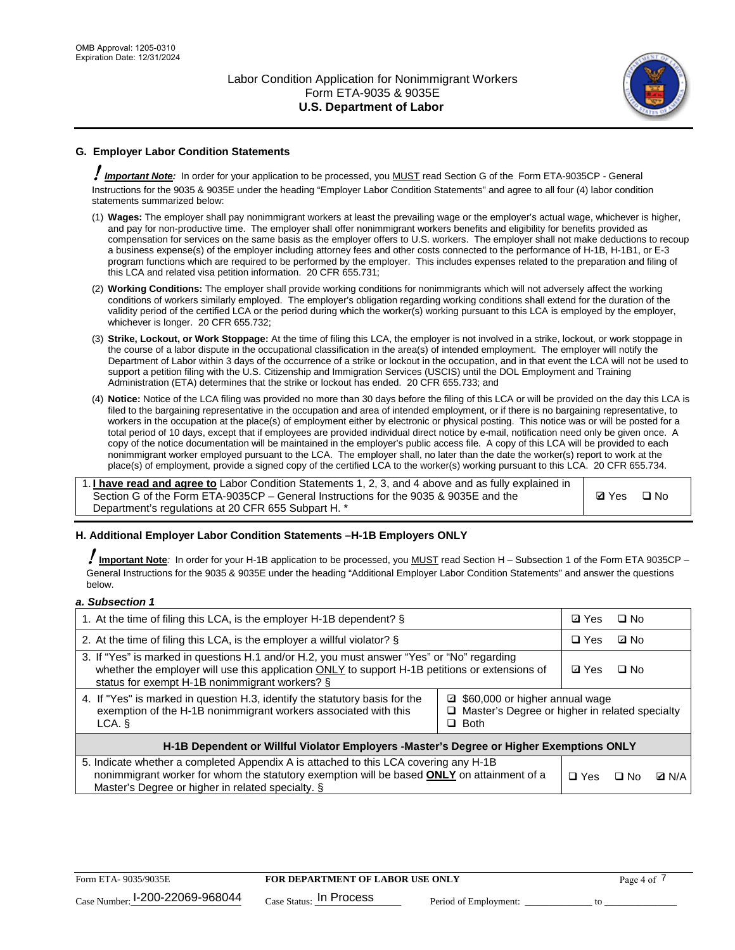

# **G. Employer Labor Condition Statements**

! *Important Note:* In order for your application to be processed, you MUST read Section G of the Form ETA-9035CP - General Instructions for the 9035 & 9035E under the heading "Employer Labor Condition Statements" and agree to all four (4) labor condition statements summarized below:

- (1) **Wages:** The employer shall pay nonimmigrant workers at least the prevailing wage or the employer's actual wage, whichever is higher, and pay for non-productive time. The employer shall offer nonimmigrant workers benefits and eligibility for benefits provided as compensation for services on the same basis as the employer offers to U.S. workers. The employer shall not make deductions to recoup a business expense(s) of the employer including attorney fees and other costs connected to the performance of H-1B, H-1B1, or E-3 program functions which are required to be performed by the employer. This includes expenses related to the preparation and filing of this LCA and related visa petition information. 20 CFR 655.731;
- (2) **Working Conditions:** The employer shall provide working conditions for nonimmigrants which will not adversely affect the working conditions of workers similarly employed. The employer's obligation regarding working conditions shall extend for the duration of the validity period of the certified LCA or the period during which the worker(s) working pursuant to this LCA is employed by the employer, whichever is longer. 20 CFR 655.732;
- (3) **Strike, Lockout, or Work Stoppage:** At the time of filing this LCA, the employer is not involved in a strike, lockout, or work stoppage in the course of a labor dispute in the occupational classification in the area(s) of intended employment. The employer will notify the Department of Labor within 3 days of the occurrence of a strike or lockout in the occupation, and in that event the LCA will not be used to support a petition filing with the U.S. Citizenship and Immigration Services (USCIS) until the DOL Employment and Training Administration (ETA) determines that the strike or lockout has ended. 20 CFR 655.733; and
- (4) **Notice:** Notice of the LCA filing was provided no more than 30 days before the filing of this LCA or will be provided on the day this LCA is filed to the bargaining representative in the occupation and area of intended employment, or if there is no bargaining representative, to workers in the occupation at the place(s) of employment either by electronic or physical posting. This notice was or will be posted for a total period of 10 days, except that if employees are provided individual direct notice by e-mail, notification need only be given once. A copy of the notice documentation will be maintained in the employer's public access file. A copy of this LCA will be provided to each nonimmigrant worker employed pursuant to the LCA. The employer shall, no later than the date the worker(s) report to work at the place(s) of employment, provide a signed copy of the certified LCA to the worker(s) working pursuant to this LCA. 20 CFR 655.734.

1. **I have read and agree to** Labor Condition Statements 1, 2, 3, and 4 above and as fully explained in Section G of the Form ETA-9035CP – General Instructions for the 9035 & 9035E and the Department's regulations at 20 CFR 655 Subpart H. \*

**Ø**Yes ロNo

## **H. Additional Employer Labor Condition Statements –H-1B Employers ONLY**

!**Important Note***:* In order for your H-1B application to be processed, you MUST read Section H – Subsection 1 of the Form ETA 9035CP – General Instructions for the 9035 & 9035E under the heading "Additional Employer Labor Condition Statements" and answer the questions below.

#### *a. Subsection 1*

| 1. At the time of filing this LCA, is the employer H-1B dependent? §                                                                                                                                                                           |                                                                                                     | ⊡ Yes | □ No         |  |  |
|------------------------------------------------------------------------------------------------------------------------------------------------------------------------------------------------------------------------------------------------|-----------------------------------------------------------------------------------------------------|-------|--------------|--|--|
| 2. At the time of filing this LCA, is the employer a willful violator? $\S$                                                                                                                                                                    | $\Box$ Yes                                                                                          | ⊡ No  |              |  |  |
| 3. If "Yes" is marked in questions H.1 and/or H.2, you must answer "Yes" or "No" regarding<br>whether the employer will use this application ONLY to support H-1B petitions or extensions of<br>status for exempt H-1B nonimmigrant workers? § |                                                                                                     |       | $\Box$ No    |  |  |
| 4. If "Yes" is marked in question H.3, identify the statutory basis for the<br>exemption of the H-1B nonimmigrant workers associated with this<br>LCA. §                                                                                       | ■ \$60,000 or higher annual wage<br>□ Master's Degree or higher in related specialty<br>$\Box$ Both |       |              |  |  |
| H-1B Dependent or Willful Violator Employers -Master's Degree or Higher Exemptions ONLY                                                                                                                                                        |                                                                                                     |       |              |  |  |
| 5. Indicate whether a completed Appendix A is attached to this LCA covering any H-1B<br>nonimmigrant worker for whom the statutory exemption will be based <b>ONLY</b> on attainment of a<br>Master's Degree or higher in related specialty. § | $\Box$ Yes                                                                                          | ⊡ No  | <b>Q</b> N/A |  |  |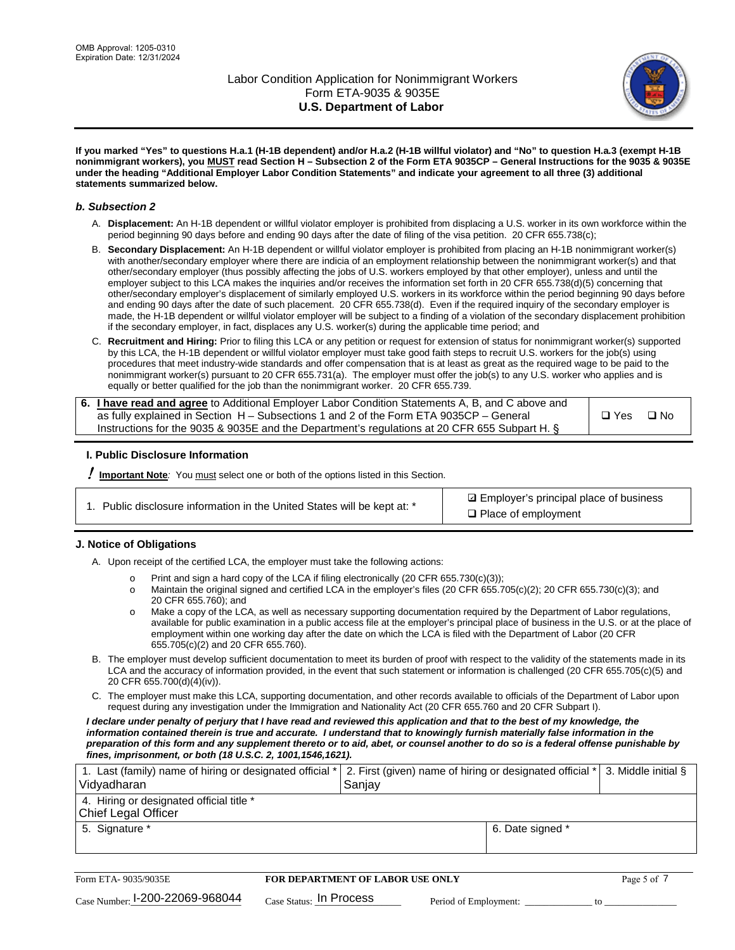

**If you marked "Yes" to questions H.a.1 (H-1B dependent) and/or H.a.2 (H-1B willful violator) and "No" to question H.a.3 (exempt H-1B nonimmigrant workers), you MUST read Section H – Subsection 2 of the Form ETA 9035CP – General Instructions for the 9035 & 9035E under the heading "Additional Employer Labor Condition Statements" and indicate your agreement to all three (3) additional statements summarized below.**

## *b. Subsection 2*

- A. **Displacement:** An H-1B dependent or willful violator employer is prohibited from displacing a U.S. worker in its own workforce within the period beginning 90 days before and ending 90 days after the date of filing of the visa petition. 20 CFR 655.738(c);
- B. **Secondary Displacement:** An H-1B dependent or willful violator employer is prohibited from placing an H-1B nonimmigrant worker(s) with another/secondary employer where there are indicia of an employment relationship between the nonimmigrant worker(s) and that other/secondary employer (thus possibly affecting the jobs of U.S. workers employed by that other employer), unless and until the employer subject to this LCA makes the inquiries and/or receives the information set forth in 20 CFR 655.738(d)(5) concerning that other/secondary employer's displacement of similarly employed U.S. workers in its workforce within the period beginning 90 days before and ending 90 days after the date of such placement. 20 CFR 655.738(d). Even if the required inquiry of the secondary employer is made, the H-1B dependent or willful violator employer will be subject to a finding of a violation of the secondary displacement prohibition if the secondary employer, in fact, displaces any U.S. worker(s) during the applicable time period; and
- C. **Recruitment and Hiring:** Prior to filing this LCA or any petition or request for extension of status for nonimmigrant worker(s) supported by this LCA, the H-1B dependent or willful violator employer must take good faith steps to recruit U.S. workers for the job(s) using procedures that meet industry-wide standards and offer compensation that is at least as great as the required wage to be paid to the nonimmigrant worker(s) pursuant to 20 CFR 655.731(a). The employer must offer the job(s) to any U.S. worker who applies and is equally or better qualified for the job than the nonimmigrant worker. 20 CFR 655.739.

| 6. I have read and agree to Additional Employer Labor Condition Statements A, B, and C above and |       |           |
|--------------------------------------------------------------------------------------------------|-------|-----------|
| as fully explained in Section H – Subsections 1 and 2 of the Form ETA 9035CP – General           | □ Yes | $\Box$ No |
| Instructions for the 9035 & 9035E and the Department's regulations at 20 CFR 655 Subpart H. §    |       |           |

## **I. Public Disclosure Information**

! **Important Note***:* You must select one or both of the options listed in this Section.

|  | 1. Public disclosure information in the United States will be kept at: * |  |  |  |
|--|--------------------------------------------------------------------------|--|--|--|
|  |                                                                          |  |  |  |

**sqrt** Employer's principal place of business □ Place of employment

## **J. Notice of Obligations**

A. Upon receipt of the certified LCA, the employer must take the following actions:

- o Print and sign a hard copy of the LCA if filing electronically (20 CFR 655.730(c)(3));<br>
Maintain the original signed and certified LCA in the employer's files (20 CFR 655.7
- Maintain the original signed and certified LCA in the employer's files (20 CFR 655.705(c)(2); 20 CFR 655.730(c)(3); and 20 CFR 655.760); and
- o Make a copy of the LCA, as well as necessary supporting documentation required by the Department of Labor regulations, available for public examination in a public access file at the employer's principal place of business in the U.S. or at the place of employment within one working day after the date on which the LCA is filed with the Department of Labor (20 CFR 655.705(c)(2) and 20 CFR 655.760).
- B. The employer must develop sufficient documentation to meet its burden of proof with respect to the validity of the statements made in its LCA and the accuracy of information provided, in the event that such statement or information is challenged (20 CFR 655.705(c)(5) and 20 CFR 655.700(d)(4)(iv)).
- C. The employer must make this LCA, supporting documentation, and other records available to officials of the Department of Labor upon request during any investigation under the Immigration and Nationality Act (20 CFR 655.760 and 20 CFR Subpart I).

*I declare under penalty of perjury that I have read and reviewed this application and that to the best of my knowledge, the*  information contained therein is true and accurate. I understand that to knowingly furnish materially false information in the *preparation of this form and any supplement thereto or to aid, abet, or counsel another to do so is a federal offense punishable by fines, imprisonment, or both (18 U.S.C. 2, 1001,1546,1621).*

| 1. Last (family) name of hiring or designated official * 2. First (given) name of hiring or designated official *<br>Vidyadharan | Saniav           | 3. Middle initial § |
|----------------------------------------------------------------------------------------------------------------------------------|------------------|---------------------|
| 4. Hiring or designated official title *<br>Chief Legal Officer                                                                  |                  |                     |
| 5. Signature *                                                                                                                   | 6. Date signed * |                     |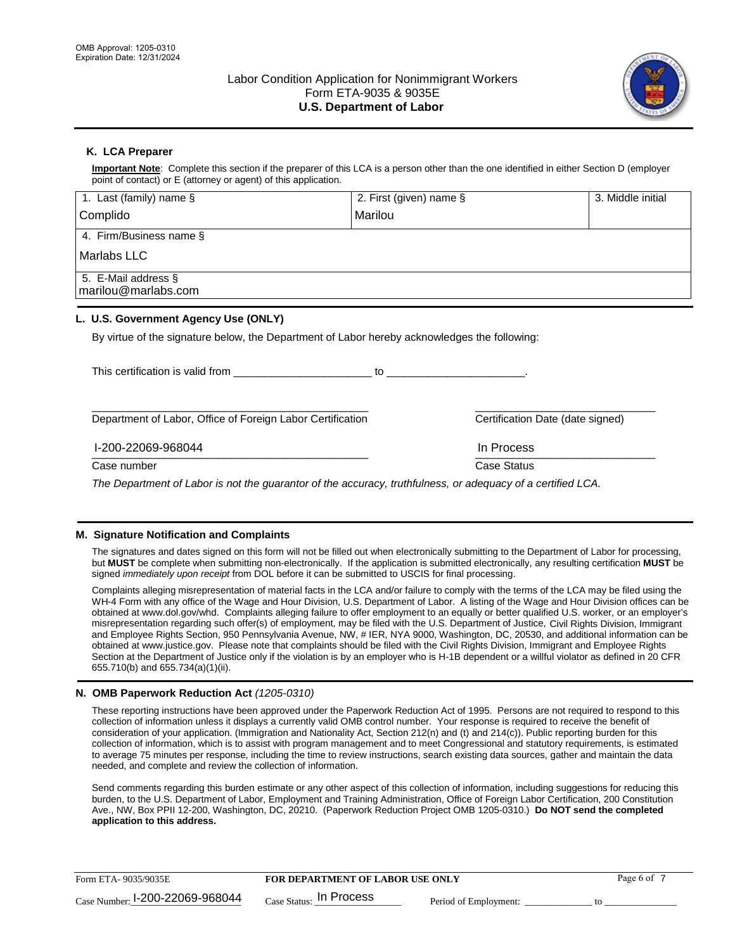

# **K. LCA Preparer**

**Important Note**: Complete this section if the preparer of this LCA is a person other than the one identified in either Section D (employer point of contact) or E (attorney or agent) of this application.

| 1. Last (family) name $\S$                                                                   | 2. First (given) name §          | 3. Middle initial                |
|----------------------------------------------------------------------------------------------|----------------------------------|----------------------------------|
| Complido                                                                                     | Marilou                          |                                  |
| 4. Firm/Business name §                                                                      |                                  |                                  |
| Marlabs LLC                                                                                  |                                  |                                  |
| 5. E-Mail address §<br>marilou@marlabs.com                                                   |                                  |                                  |
| L. U.S. Government Agency Use (ONLY)                                                         |                                  |                                  |
| By virtue of the signature below, the Department of Labor hereby acknowledges the following: |                                  |                                  |
| This certification is valid from This certification is valid from                            | $\sim$ to the contract of $\sim$ |                                  |
| Department of Labor, Office of Foreign Labor Certification                                   |                                  | Certification Date (date signed) |

#### \_\_\_\_\_\_\_\_\_\_\_\_\_\_\_\_\_\_\_\_\_\_\_\_\_\_\_\_\_\_\_\_\_\_\_\_\_\_\_\_\_\_\_\_\_\_ \_\_\_\_\_\_\_\_\_\_\_\_\_\_\_\_\_\_\_\_\_\_\_\_\_\_\_\_\_\_ I-200-22069-968044 In Process

Case number **Case Status** Case Status **Case Status** 

*The Department of Labor is not the guarantor of the accuracy, truthfulness, or adequacy of a certified LCA.*

## **M. Signature Notification and Complaints**

The signatures and dates signed on this form will not be filled out when electronically submitting to the Department of Labor for processing, but **MUST** be complete when submitting non-electronically. If the application is submitted electronically, any resulting certification **MUST** be signed *immediately upon receipt* from DOL before it can be submitted to USCIS for final processing.

Complaints alleging misrepresentation of material facts in the LCA and/or failure to comply with the terms of the LCA may be filed using the WH-4 Form with any office of the Wage and Hour Division, U.S. Department of Labor. A listing of the Wage and Hour Division offices can be obtained at www.dol.gov/whd. Complaints alleging failure to offer employment to an equally or better qualified U.S. worker, or an employer's misrepresentation regarding such offer(s) of employment, may be filed with the U.S. Department of Justice, Civil Rights Division, Immigrant and Employee Rights Section, 950 Pennsylvania Avenue, NW, # IER, NYA 9000, Washington, DC, 20530, and additional information can be obtained at www.justice.gov. Please note that complaints should be filed with the Civil Rights Division, Immigrant and Employee Rights Section at the Department of Justice only if the violation is by an employer who is H-1B dependent or a willful violator as defined in 20 CFR 655.710(b) and 655.734(a)(1)(ii).

## **N. OMB Paperwork Reduction Act** *(1205-0310)*

These reporting instructions have been approved under the Paperwork Reduction Act of 1995. Persons are not required to respond to this collection of information unless it displays a currently valid OMB control number. Your response is required to receive the benefit of consideration of your application. (Immigration and Nationality Act, Section 212(n) and (t) and 214(c)). Public reporting burden for this collection of information, which is to assist with program management and to meet Congressional and statutory requirements, is estimated to average 75 minutes per response, including the time to review instructions, search existing data sources, gather and maintain the data needed, and complete and review the collection of information.

Send comments regarding this burden estimate or any other aspect of this collection of information, including suggestions for reducing this burden, to the U.S. Department of Labor, Employment and Training Administration, Office of Foreign Labor Certification, 200 Constitution Ave., NW, Box PPII 12-200, Washington, DC, 20210. (Paperwork Reduction Project OMB 1205-0310.) **Do NOT send the completed application to this address.**

| Form ETA-9035/9035E             | <b>FOR DEPARTMENT OF LABOR USE ONLY</b> |                       | Page 6 of |
|---------------------------------|-----------------------------------------|-----------------------|-----------|
| Case Number: 1-200-22069-968044 | $_{Case\; Status:}$ In Process          | Period of Employment: |           |